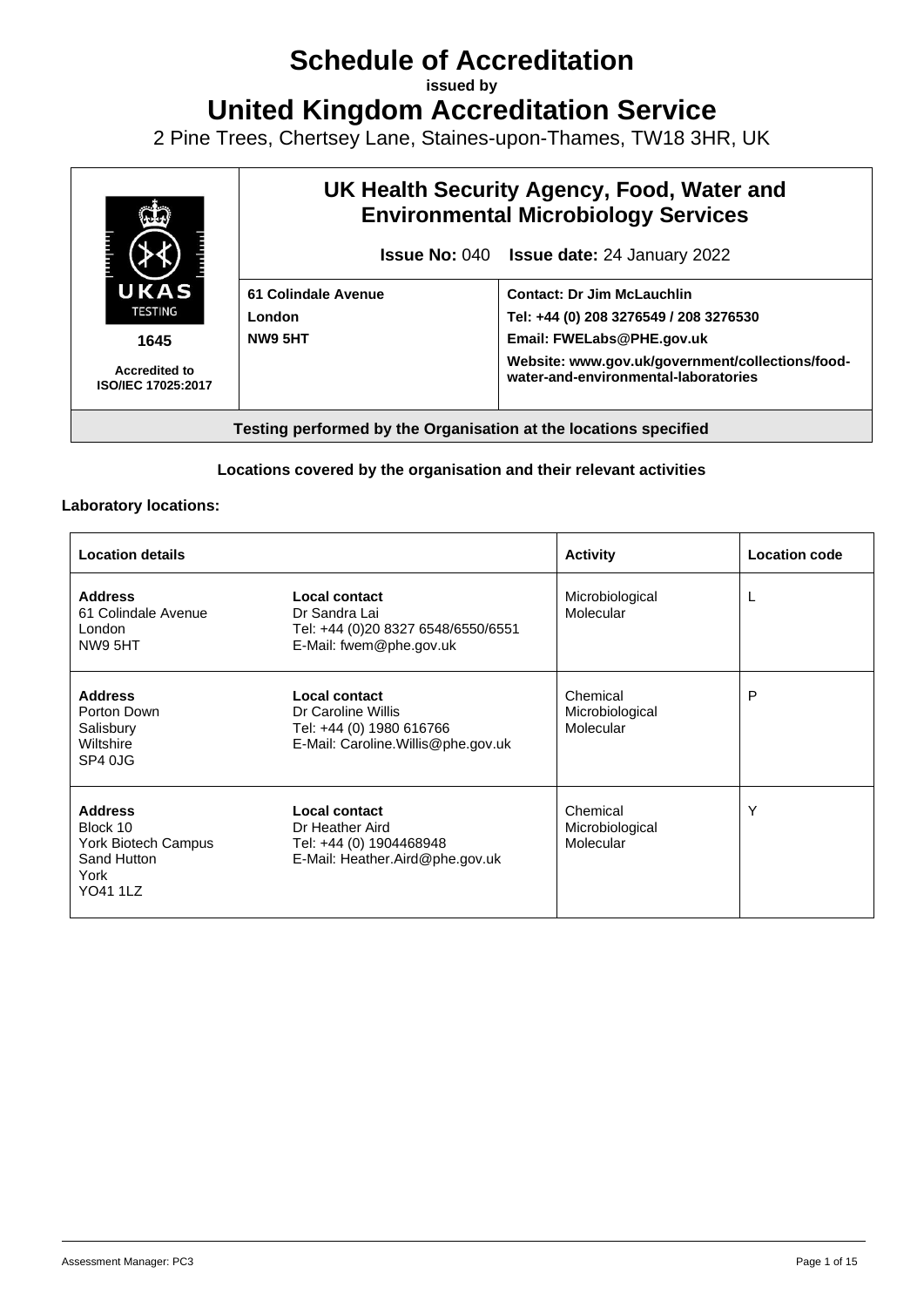# **Schedule of Accreditation**

**issued by**

**United Kingdom Accreditation Service**

2 Pine Trees, Chertsey Lane, Staines-upon-Thames, TW18 3HR, UK



#### **Locations covered by the organisation and their relevant activities**

#### **Laboratory locations:**

| <b>Location details</b>                                                                     |                                                                                                        | <b>Activity</b>                          | <b>Location code</b> |
|---------------------------------------------------------------------------------------------|--------------------------------------------------------------------------------------------------------|------------------------------------------|----------------------|
| <b>Address</b><br>61 Colindale Avenue<br>London<br>NW9 5HT                                  | Local contact<br>Dr Sandra Lai<br>Tel: +44 (0)20 8327 6548/6550/6551<br>E-Mail: fwem@phe.gov.uk        | Microbiological<br>Molecular             | L                    |
| <b>Address</b><br>Porton Down<br>Salisbury<br>Wiltshire<br>SP4 0JG                          | Local contact<br>Dr Caroline Willis<br>Tel: +44 (0) 1980 616766<br>E-Mail: Caroline. Willis@phe.gov.uk | Chemical<br>Microbiological<br>Molecular | P                    |
| <b>Address</b><br>Block 10<br>York Biotech Campus<br>Sand Hutton<br>York<br><b>YO41 1LZ</b> | Local contact<br>Dr Heather Aird<br>Tel: +44 (0) 1904468948<br>E-Mail: Heather.Aird@phe.gov.uk         | Chemical<br>Microbiological<br>Molecular | Υ                    |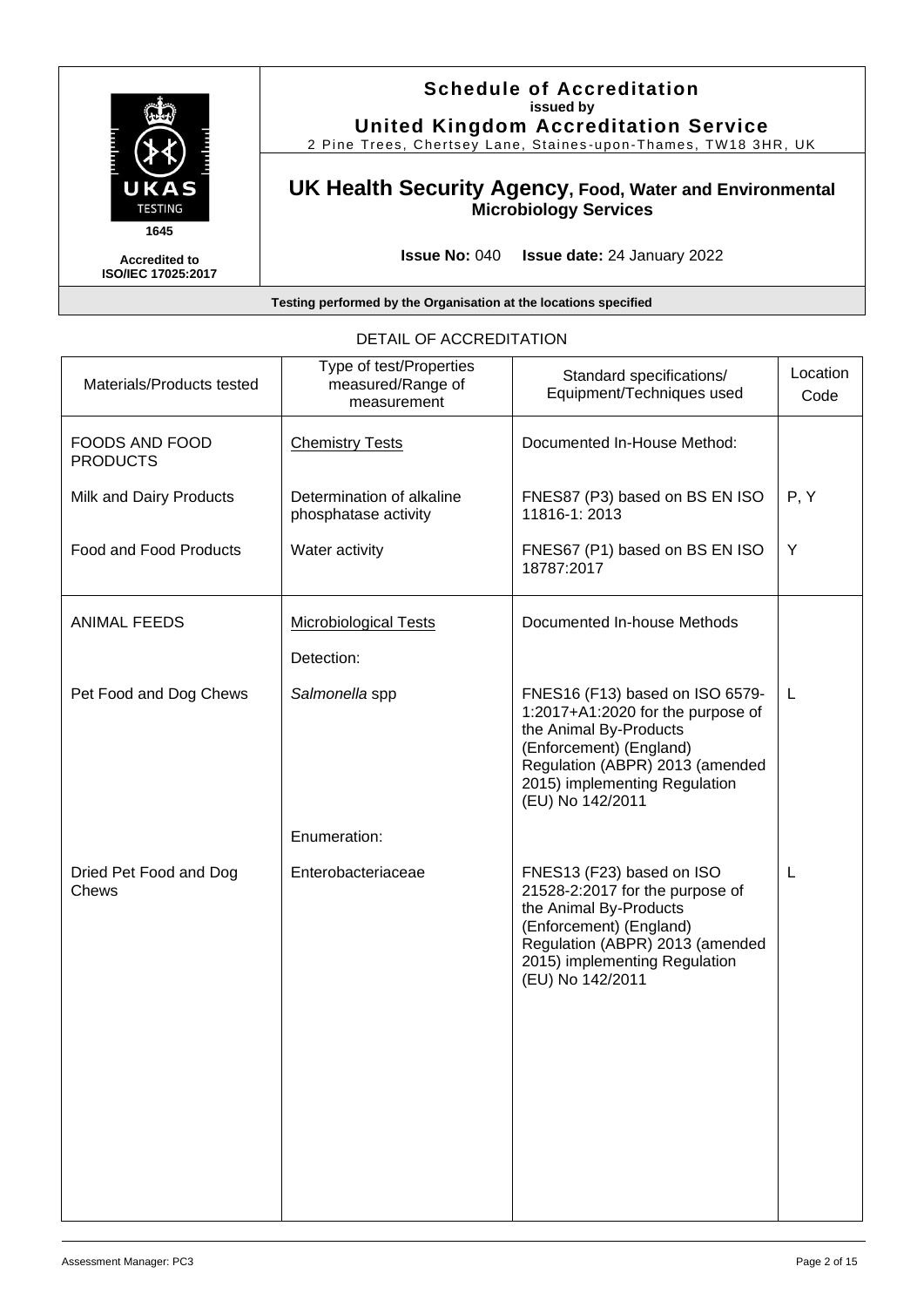

**Schedule of Accreditation issued by United Kingdom Accreditation Service**

2 Pine Trees, Chertsey Lane, Staines -upon -Thames, TW18 3HR, UK

### **UK Health Security Agency, Food, Water and Environmental Microbiology Services**

**Issue No:** 040 **Issue date:** 24 January 2022

#### **Testing performed by the Organisation at the locations specified**

| Materials/Products tested                | Type of test/Properties<br>measured/Range of<br>measurement | Standard specifications/<br>Equipment/Techniques used                                                                                                                                                             | Location<br>Code |
|------------------------------------------|-------------------------------------------------------------|-------------------------------------------------------------------------------------------------------------------------------------------------------------------------------------------------------------------|------------------|
| <b>FOODS AND FOOD</b><br><b>PRODUCTS</b> | <b>Chemistry Tests</b>                                      | Documented In-House Method:                                                                                                                                                                                       |                  |
| Milk and Dairy Products                  | Determination of alkaline<br>phosphatase activity           | FNES87 (P3) based on BS EN ISO<br>11816-1:2013                                                                                                                                                                    | P, Y             |
| <b>Food and Food Products</b>            | Water activity                                              | FNES67 (P1) based on BS EN ISO<br>18787:2017                                                                                                                                                                      | Y                |
| <b>ANIMAL FEEDS</b>                      | <b>Microbiological Tests</b>                                | Documented In-house Methods                                                                                                                                                                                       |                  |
|                                          | Detection:                                                  |                                                                                                                                                                                                                   |                  |
| Pet Food and Dog Chews                   | Salmonella spp                                              | FNES16 (F13) based on ISO 6579-<br>1:2017+A1:2020 for the purpose of<br>the Animal By-Products<br>(Enforcement) (England)<br>Regulation (ABPR) 2013 (amended<br>2015) implementing Regulation<br>(EU) No 142/2011 | L                |
|                                          | Enumeration:                                                |                                                                                                                                                                                                                   |                  |
| Dried Pet Food and Dog<br>Chews          | Enterobacteriaceae                                          | FNES13 (F23) based on ISO<br>21528-2:2017 for the purpose of<br>the Animal By-Products<br>(Enforcement) (England)<br>Regulation (ABPR) 2013 (amended<br>2015) implementing Regulation<br>(EU) No 142/2011         | L                |

### DETAIL OF ACCREDITATION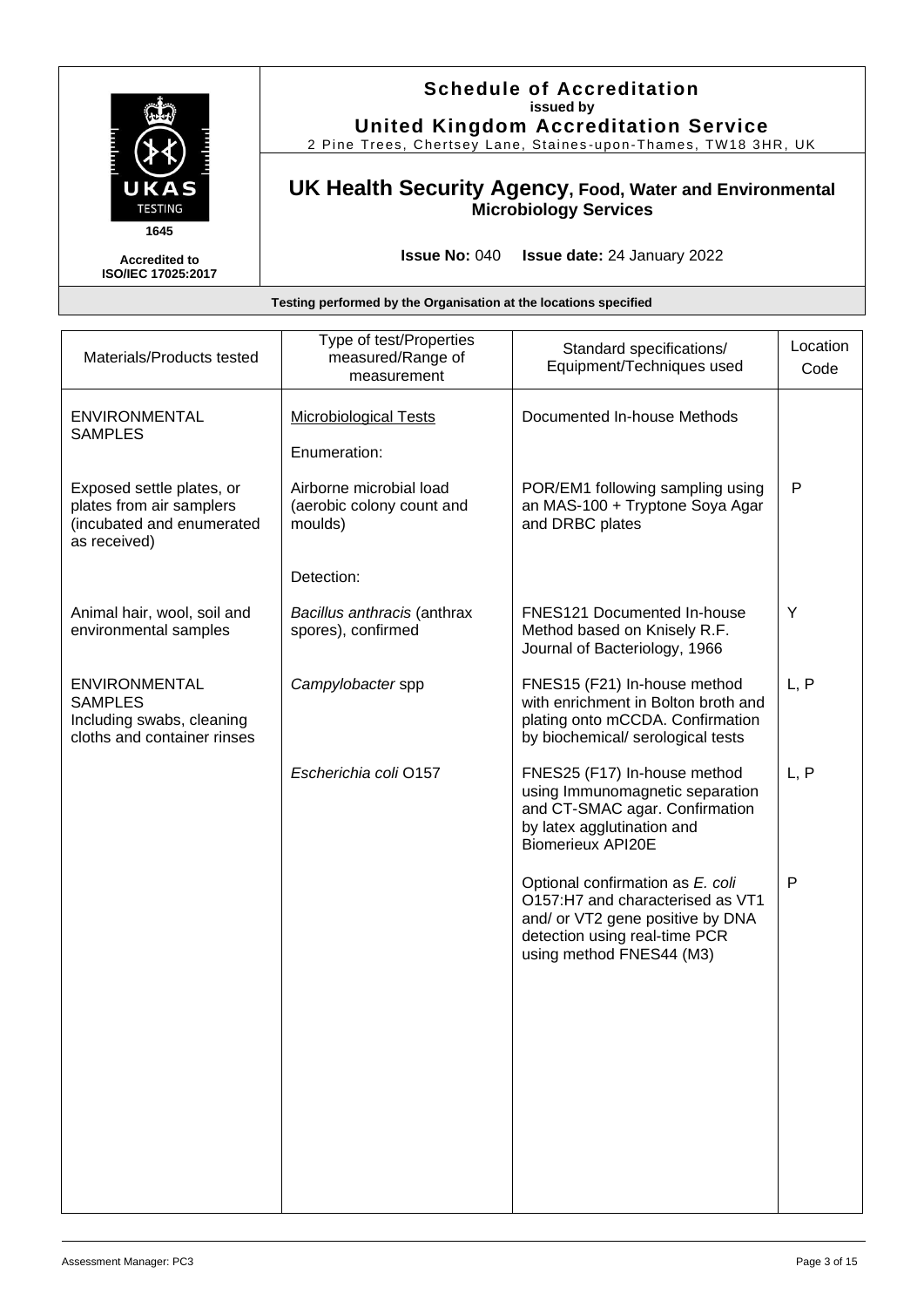

### **Schedule of Accreditation issued by United Kingdom Accreditation Service**

2 Pine Trees, Chertsey Lane, Staines -upon -Thames, TW18 3HR, UK

### **UK Health Security Agency, Food, Water and Environmental Microbiology Services**

**Issue No:** 040 **Issue date:** 24 January 2022

| Materials/Products tested                                                                          | Type of test/Properties<br>measured/Range of<br>measurement     | Standard specifications/<br>Equipment/Techniques used                                                                                                                 | Location<br>Code |
|----------------------------------------------------------------------------------------------------|-----------------------------------------------------------------|-----------------------------------------------------------------------------------------------------------------------------------------------------------------------|------------------|
| ENVIRONMENTAL<br><b>SAMPLES</b>                                                                    | <b>Microbiological Tests</b>                                    | Documented In-house Methods                                                                                                                                           |                  |
|                                                                                                    | Enumeration:                                                    |                                                                                                                                                                       |                  |
| Exposed settle plates, or<br>plates from air samplers<br>(incubated and enumerated<br>as received) | Airborne microbial load<br>(aerobic colony count and<br>moulds) | POR/EM1 following sampling using<br>an MAS-100 + Tryptone Soya Agar<br>and DRBC plates                                                                                | $\mathsf{P}$     |
|                                                                                                    | Detection:                                                      |                                                                                                                                                                       |                  |
| Animal hair, wool, soil and<br>environmental samples                                               | Bacillus anthracis (anthrax<br>spores), confirmed               | FNES121 Documented In-house<br>Method based on Knisely R.F.<br>Journal of Bacteriology, 1966                                                                          | Y                |
| <b>ENVIRONMENTAL</b><br><b>SAMPLES</b><br>Including swabs, cleaning<br>cloths and container rinses | Campylobacter spp                                               | FNES15 (F21) In-house method<br>with enrichment in Bolton broth and<br>plating onto mCCDA. Confirmation<br>by biochemical/ serological tests                          | L, P             |
|                                                                                                    | Escherichia coli O157                                           | FNES25 (F17) In-house method<br>using Immunomagnetic separation<br>and CT-SMAC agar. Confirmation<br>by latex agglutination and<br><b>Biomerieux API20E</b>           | L, P             |
|                                                                                                    |                                                                 | Optional confirmation as E. coli<br>O157:H7 and characterised as VT1<br>and/ or VT2 gene positive by DNA<br>detection using real-time PCR<br>using method FNES44 (M3) | P                |
|                                                                                                    |                                                                 |                                                                                                                                                                       |                  |
|                                                                                                    |                                                                 |                                                                                                                                                                       |                  |
|                                                                                                    |                                                                 |                                                                                                                                                                       |                  |
|                                                                                                    |                                                                 |                                                                                                                                                                       |                  |
|                                                                                                    |                                                                 |                                                                                                                                                                       |                  |
|                                                                                                    |                                                                 |                                                                                                                                                                       |                  |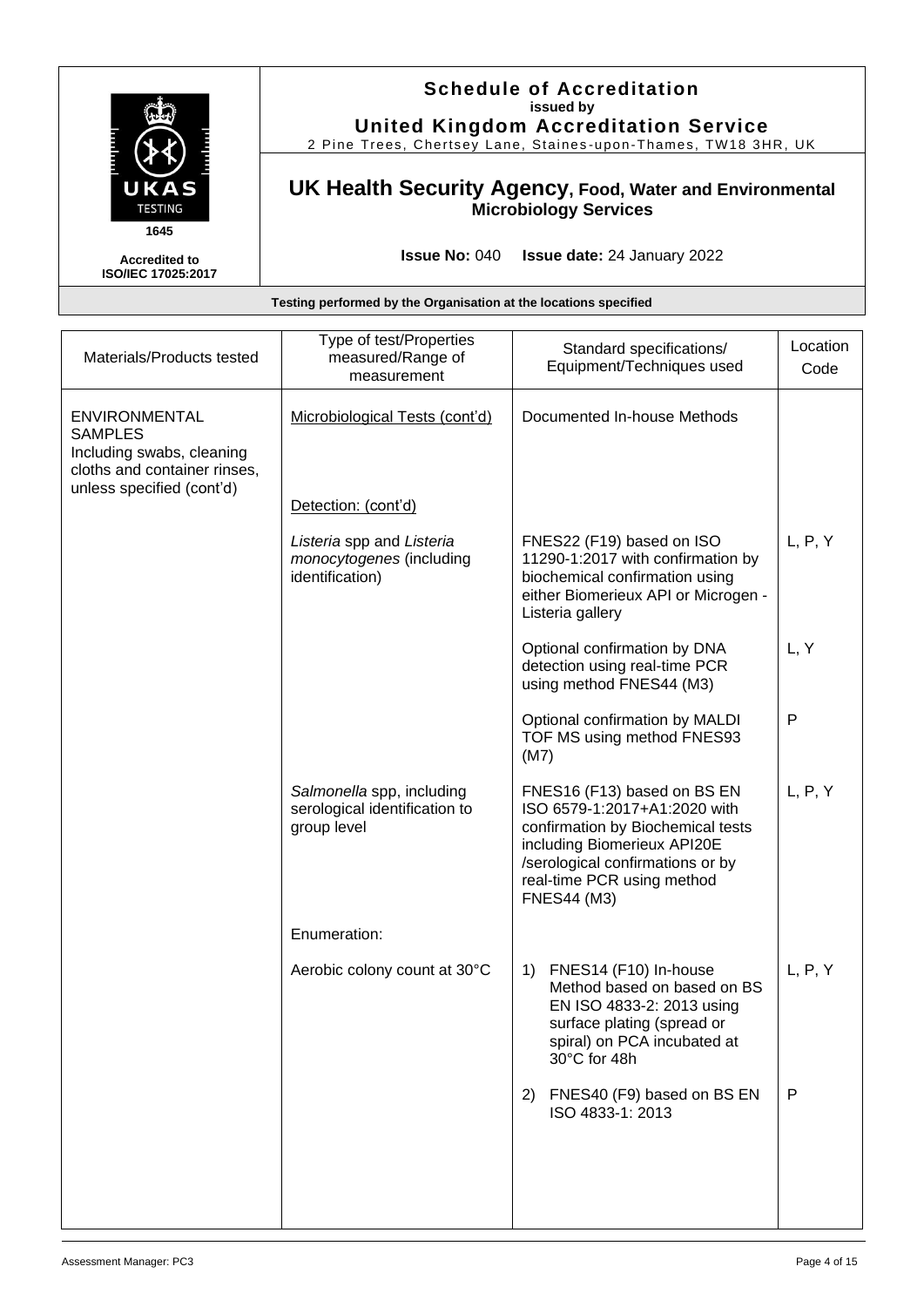|                                                           | <b>Schedule of Accreditation</b><br>issued by<br><b>United Kingdom Accreditation Service</b><br>2 Pine Trees, Chertsey Lane, Staines-upon-Thames, TW18 3HR, UK |
|-----------------------------------------------------------|----------------------------------------------------------------------------------------------------------------------------------------------------------------|
| UKAS<br><b>TESTING</b>                                    | UK Health Security Agency, Food, Water and Environmental<br><b>Microbiology Services</b>                                                                       |
| 1645<br><b>Accredited to</b><br><b>ISO/IEC 17025:2017</b> | <b>Issue No: 040</b><br><b>Issue date:</b> 24 January 2022                                                                                                     |
|                                                           | Testing performed by the Organisation at the locations specified                                                                                               |

| Materials/Products tested                                                                                                        | Type of test/Properties<br>measured/Range of<br>measurement               | Standard specifications/<br>Equipment/Techniques used                                                                                                                                                                   | Location<br>Code |
|----------------------------------------------------------------------------------------------------------------------------------|---------------------------------------------------------------------------|-------------------------------------------------------------------------------------------------------------------------------------------------------------------------------------------------------------------------|------------------|
| <b>ENVIRONMENTAL</b><br><b>SAMPLES</b><br>Including swabs, cleaning<br>cloths and container rinses,<br>unless specified (cont'd) | Microbiological Tests (cont'd)                                            | Documented In-house Methods                                                                                                                                                                                             |                  |
|                                                                                                                                  | Detection: (cont'd)                                                       |                                                                                                                                                                                                                         |                  |
|                                                                                                                                  | Listeria spp and Listeria<br>monocytogenes (including<br>identification)  | FNES22 (F19) based on ISO<br>11290-1:2017 with confirmation by<br>biochemical confirmation using<br>either Biomerieux API or Microgen -<br>Listeria gallery                                                             | L, P, Y          |
|                                                                                                                                  |                                                                           | Optional confirmation by DNA<br>detection using real-time PCR<br>using method FNES44 (M3)                                                                                                                               | L, Y             |
|                                                                                                                                  |                                                                           | Optional confirmation by MALDI<br>TOF MS using method FNES93<br>(M7)                                                                                                                                                    | $\mathsf{P}$     |
|                                                                                                                                  | Salmonella spp, including<br>serological identification to<br>group level | FNES16 (F13) based on BS EN<br>ISO 6579-1:2017+A1:2020 with<br>confirmation by Biochemical tests<br>including Biomerieux API20E<br>/serological confirmations or by<br>real-time PCR using method<br><b>FNES44 (M3)</b> | L, P, Y          |
|                                                                                                                                  | Enumeration:                                                              |                                                                                                                                                                                                                         |                  |
|                                                                                                                                  | Aerobic colony count at 30°C                                              | FNES14 (F10) In-house<br>1)<br>Method based on based on BS<br>EN ISO 4833-2: 2013 using<br>surface plating (spread or<br>spiral) on PCA incubated at<br>30°C for 48h                                                    | L, P, Y          |
|                                                                                                                                  |                                                                           | 2) FNES40 (F9) based on BS EN<br>ISO 4833-1: 2013                                                                                                                                                                       | P                |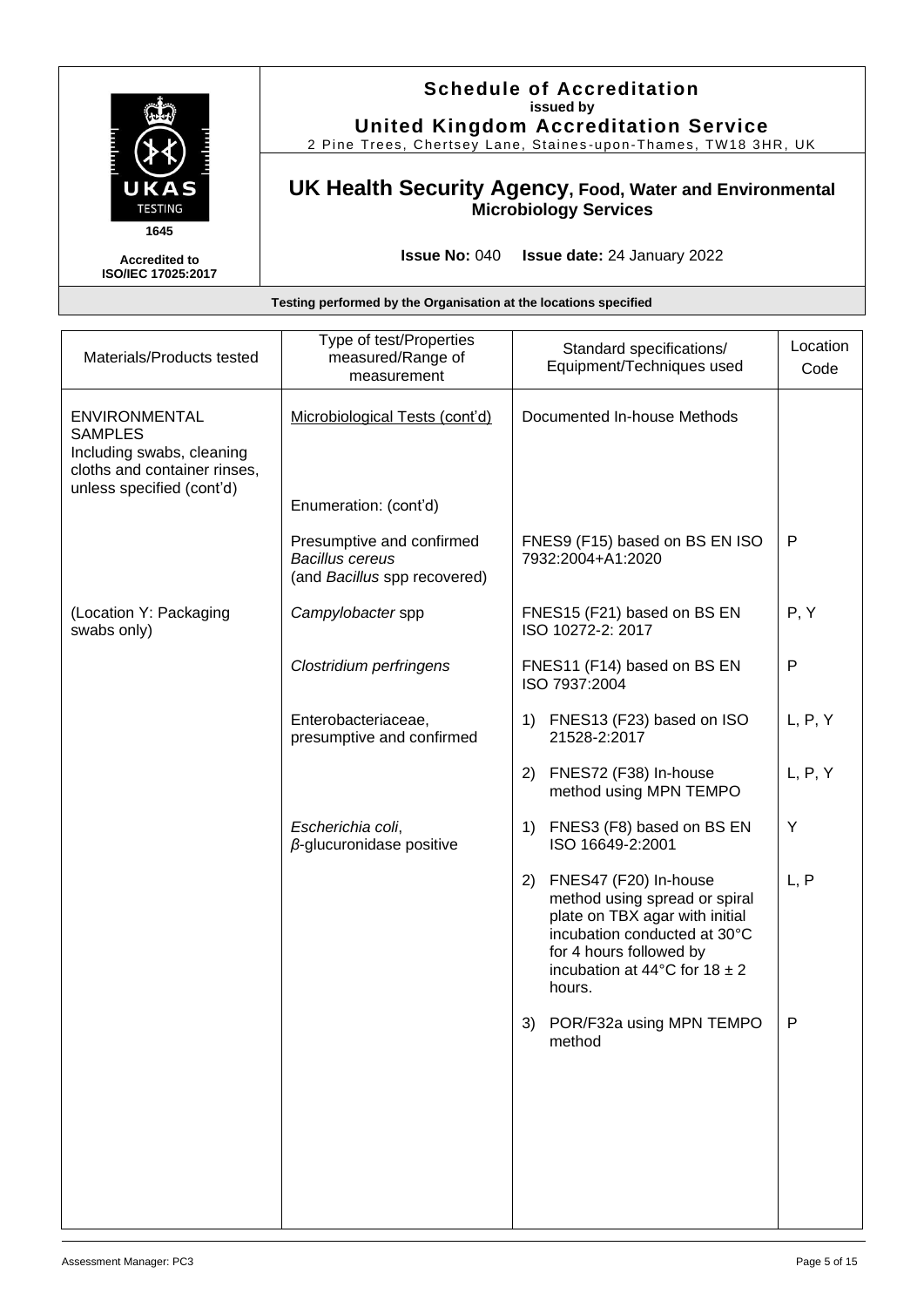### **Schedule of Accreditation issued by United Kingdom Accreditation Service**

2 Pine Trees, Chertsey Lane, Staines -upon -Thames, TW18 3HR, UK

### **UK Health Security Agency, Food, Water and Environmental Microbiology Services**

**Issue No:** 040 **Issue date:** 24 January 2022

| Testing performed by the Organisation at the locations specified                                                                 |                                                                                     |                                                                                                                                                                                                                    |                  |
|----------------------------------------------------------------------------------------------------------------------------------|-------------------------------------------------------------------------------------|--------------------------------------------------------------------------------------------------------------------------------------------------------------------------------------------------------------------|------------------|
| Materials/Products tested                                                                                                        | Type of test/Properties<br>measured/Range of<br>measurement                         | Standard specifications/<br>Equipment/Techniques used                                                                                                                                                              | Location<br>Code |
| <b>ENVIRONMENTAL</b><br><b>SAMPLES</b><br>Including swabs, cleaning<br>cloths and container rinses,<br>unless specified (cont'd) | Microbiological Tests (cont'd)<br>Enumeration: (cont'd)                             | Documented In-house Methods                                                                                                                                                                                        |                  |
|                                                                                                                                  | Presumptive and confirmed<br><b>Bacillus cereus</b><br>(and Bacillus spp recovered) | FNES9 (F15) based on BS EN ISO<br>7932:2004+A1:2020                                                                                                                                                                | $\mathsf{P}$     |
| (Location Y: Packaging<br>swabs only)                                                                                            | Campylobacter spp                                                                   | FNES15 (F21) based on BS EN<br>ISO 10272-2: 2017                                                                                                                                                                   | P, Y             |
|                                                                                                                                  | Clostridium perfringens                                                             | FNES11 (F14) based on BS EN<br>ISO 7937:2004                                                                                                                                                                       | $\mathsf{P}$     |
|                                                                                                                                  | Enterobacteriaceae,<br>presumptive and confirmed                                    | FNES13 (F23) based on ISO<br>1)<br>21528-2:2017                                                                                                                                                                    | L, P, Y          |
|                                                                                                                                  |                                                                                     | (2)<br>FNES72 (F38) In-house<br>method using MPN TEMPO                                                                                                                                                             | L, P, Y          |
|                                                                                                                                  | Escherichia coli,<br>$\beta$ -glucuronidase positive                                | FNES3 (F8) based on BS EN<br>1)<br>ISO 16649-2:2001                                                                                                                                                                | Υ                |
|                                                                                                                                  |                                                                                     | FNES47 (F20) In-house<br>2)<br>method using spread or spiral<br>plate on TBX agar with initial<br>incubation conducted at 30°C<br>for 4 hours followed by<br>incubation at 44 $\degree$ C for 18 $\pm$ 2<br>hours. | L, P             |
|                                                                                                                                  |                                                                                     | 3) POR/F32a using MPN TEMPO<br>method                                                                                                                                                                              | P                |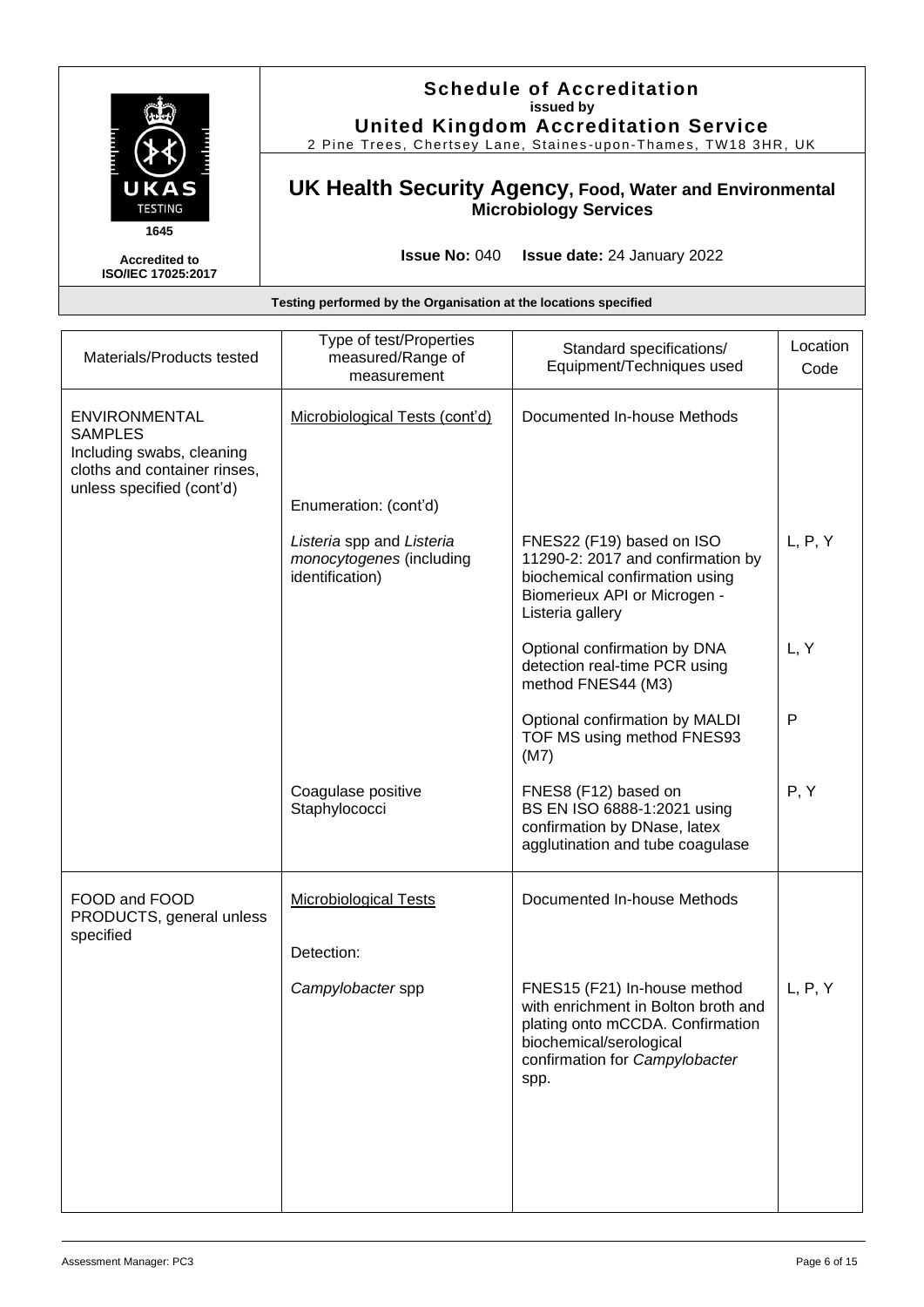| UKAS<br><b>TESTING</b><br>1645                    | <b>Schedule of Accreditation</b><br>issued by<br><b>United Kingdom Accreditation Service</b><br>2 Pine Trees, Chertsey Lane, Staines-upon-Thames, TW18 3HR, UK |
|---------------------------------------------------|----------------------------------------------------------------------------------------------------------------------------------------------------------------|
|                                                   | UK Health Security Agency, Food, Water and Environmental<br><b>Microbiology Services</b>                                                                       |
| <b>Accredited to</b><br><b>ISO/IEC 17025:2017</b> | <b>Issue No: 040</b><br><b>Issue date:</b> 24 January 2022                                                                                                     |

| Type of test/Properties<br>measured/Range of<br>measurement              | Standard specifications/<br>Equipment/Techniques used                                                                                                                        | Location<br>Code |
|--------------------------------------------------------------------------|------------------------------------------------------------------------------------------------------------------------------------------------------------------------------|------------------|
| Microbiological Tests (cont'd)                                           | Documented In-house Methods                                                                                                                                                  |                  |
| Enumeration: (cont'd)                                                    |                                                                                                                                                                              |                  |
| Listeria spp and Listeria<br>monocytogenes (including<br>identification) | FNES22 (F19) based on ISO<br>11290-2: 2017 and confirmation by<br>biochemical confirmation using<br>Biomerieux API or Microgen -<br>Listeria gallery                         | L, P, Y          |
|                                                                          | Optional confirmation by DNA<br>detection real-time PCR using<br>method FNES44 (M3)                                                                                          | L, Y             |
|                                                                          | Optional confirmation by MALDI<br>TOF MS using method FNES93<br>(M7)                                                                                                         | P                |
| Coagulase positive<br>Staphylococci                                      | FNES8 (F12) based on<br>BS EN ISO 6888-1:2021 using<br>confirmation by DNase, latex<br>agglutination and tube coagulase                                                      | P, Y             |
| <b>Microbiological Tests</b>                                             | Documented In-house Methods                                                                                                                                                  |                  |
| Detection:                                                               |                                                                                                                                                                              |                  |
| Campylobacter spp                                                        | FNES15 (F21) In-house method<br>with enrichment in Bolton broth and<br>plating onto mCCDA. Confirmation<br>biochemical/serological<br>confirmation for Campylobacter<br>spp. | L, P, Y          |
|                                                                          |                                                                                                                                                                              |                  |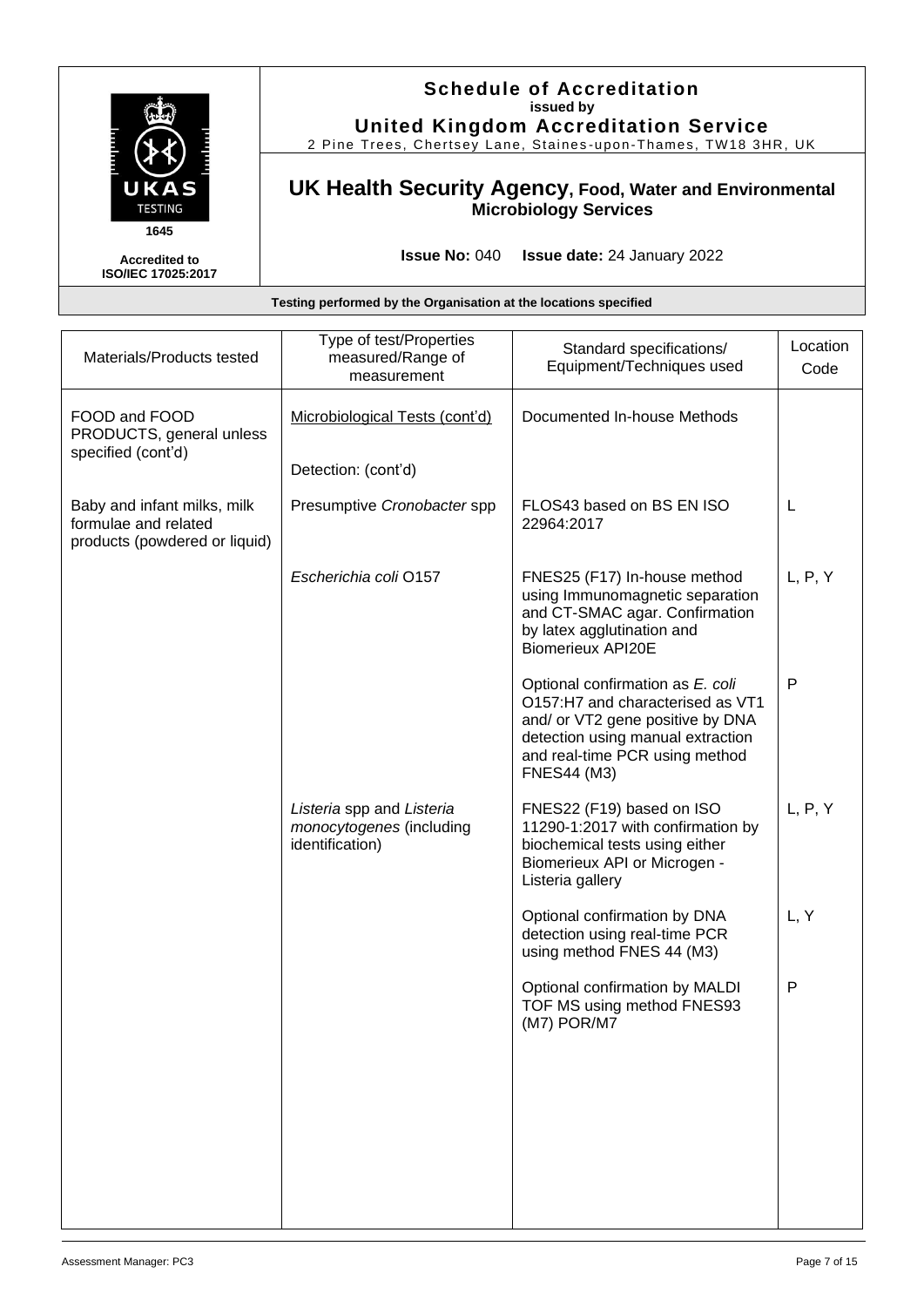

### **Schedule of Accreditation issued by United Kingdom Accreditation Service**

2 Pine Trees, Chertsey Lane, Staines -upon -Thames, TW18 3HR, UK

### **UK Health Security Agency, Food, Water and Environmental Microbiology Services**

**Issue No:** 040 **Issue date:** 24 January 2022

| Materials/Products tested                                                            | Type of test/Properties<br>measured/Range of<br>measurement              | Standard specifications/<br>Equipment/Techniques used                                                                                                                                                 | Location<br>Code |
|--------------------------------------------------------------------------------------|--------------------------------------------------------------------------|-------------------------------------------------------------------------------------------------------------------------------------------------------------------------------------------------------|------------------|
| FOOD and FOOD<br>PRODUCTS, general unless<br>specified (cont'd)                      | Microbiological Tests (cont'd)<br>Detection: (cont'd)                    | Documented In-house Methods                                                                                                                                                                           |                  |
| Baby and infant milks, milk<br>formulae and related<br>products (powdered or liquid) | Presumptive Cronobacter spp                                              | FLOS43 based on BS EN ISO<br>22964:2017                                                                                                                                                               | L                |
|                                                                                      | Escherichia coli O157                                                    | FNES25 (F17) In-house method<br>using Immunomagnetic separation<br>and CT-SMAC agar. Confirmation<br>by latex agglutination and<br><b>Biomerieux API20E</b>                                           | L, P, Y          |
|                                                                                      |                                                                          | Optional confirmation as E. coli<br>O157:H7 and characterised as VT1<br>and/ or VT2 gene positive by DNA<br>detection using manual extraction<br>and real-time PCR using method<br><b>FNES44 (M3)</b> | $\mathsf{P}$     |
|                                                                                      | Listeria spp and Listeria<br>monocytogenes (including<br>identification) | FNES22 (F19) based on ISO<br>11290-1:2017 with confirmation by<br>biochemical tests using either<br>Biomerieux API or Microgen -<br>Listeria gallery                                                  | L, P, Y          |
|                                                                                      |                                                                          | Optional confirmation by DNA<br>detection using real-time PCR<br>using method FNES 44 (M3)                                                                                                            | L, Y             |
|                                                                                      |                                                                          | Optional confirmation by MALDI<br>TOF MS using method FNES93<br>(M7) POR/M7                                                                                                                           | P                |
|                                                                                      |                                                                          |                                                                                                                                                                                                       |                  |
|                                                                                      |                                                                          |                                                                                                                                                                                                       |                  |
|                                                                                      |                                                                          |                                                                                                                                                                                                       |                  |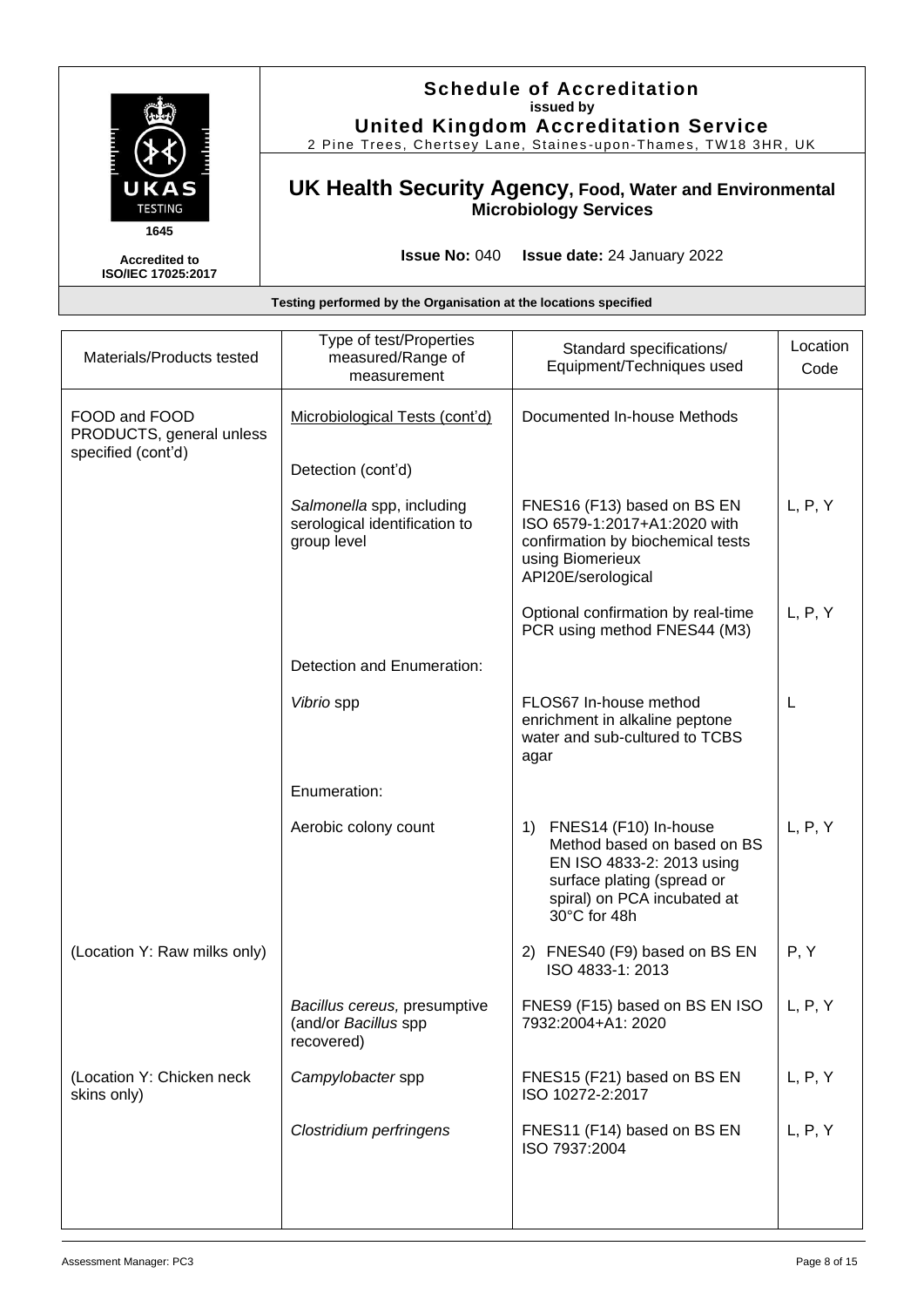|                                            | Uni<br>2 Pine Tree |
|--------------------------------------------|--------------------|
| UKAS<br><b>TESTING</b>                     | <b>UK Health</b>   |
| 1645                                       |                    |
| <b>Accredited to</b><br>ISO/IEC 17025:2017 |                    |

## **Schedule of Accreditation issued by ted Kingdom Accreditation Service**

2s, Chertsey Lane, Staines-upon-Thames, TW18 3HR, UK

### **UK Health Security Agency, Food, Water and Environmental Microbiology Services**

**Issue No:** 040 **Issue date:** 24 January 2022

| Materials/Products tested                                       | Type of test/Properties<br>measured/Range of<br>measurement               | Standard specifications/<br>Equipment/Techniques used                                                                                                                | Location<br>Code |
|-----------------------------------------------------------------|---------------------------------------------------------------------------|----------------------------------------------------------------------------------------------------------------------------------------------------------------------|------------------|
| FOOD and FOOD<br>PRODUCTS, general unless<br>specified (cont'd) | Microbiological Tests (cont'd)                                            | Documented In-house Methods                                                                                                                                          |                  |
|                                                                 | Detection (cont'd)                                                        |                                                                                                                                                                      |                  |
|                                                                 | Salmonella spp, including<br>serological identification to<br>group level | FNES16 (F13) based on BS EN<br>ISO 6579-1:2017+A1:2020 with<br>confirmation by biochemical tests<br>using Biomerieux<br>API20E/serological                           | L, P, Y          |
|                                                                 |                                                                           | Optional confirmation by real-time<br>PCR using method FNES44 (M3)                                                                                                   | L, P, Y          |
|                                                                 | Detection and Enumeration:                                                |                                                                                                                                                                      |                  |
|                                                                 | Vibrio spp                                                                | FLOS67 In-house method<br>enrichment in alkaline peptone<br>water and sub-cultured to TCBS<br>agar                                                                   | L                |
|                                                                 | Enumeration:                                                              |                                                                                                                                                                      |                  |
|                                                                 | Aerobic colony count                                                      | FNES14 (F10) In-house<br>1)<br>Method based on based on BS<br>EN ISO 4833-2: 2013 using<br>surface plating (spread or<br>spiral) on PCA incubated at<br>30°C for 48h | L, P, Y          |
| (Location Y: Raw milks only)                                    |                                                                           | 2) FNES40 (F9) based on BS EN<br>ISO 4833-1: 2013                                                                                                                    | P, Y             |
|                                                                 | Bacillus cereus, presumptive<br>(and/or Bacillus spp<br>recovered)        | FNES9 (F15) based on BS EN ISO<br>7932:2004+A1: 2020                                                                                                                 | L, P, Y          |
| (Location Y: Chicken neck<br>skins only)                        | Campylobacter spp                                                         | FNES15 (F21) based on BS EN<br>ISO 10272-2:2017                                                                                                                      | L, P, Y          |
|                                                                 | Clostridium perfringens                                                   | FNES11 (F14) based on BS EN<br>ISO 7937:2004                                                                                                                         | L, P, Y          |
|                                                                 |                                                                           |                                                                                                                                                                      |                  |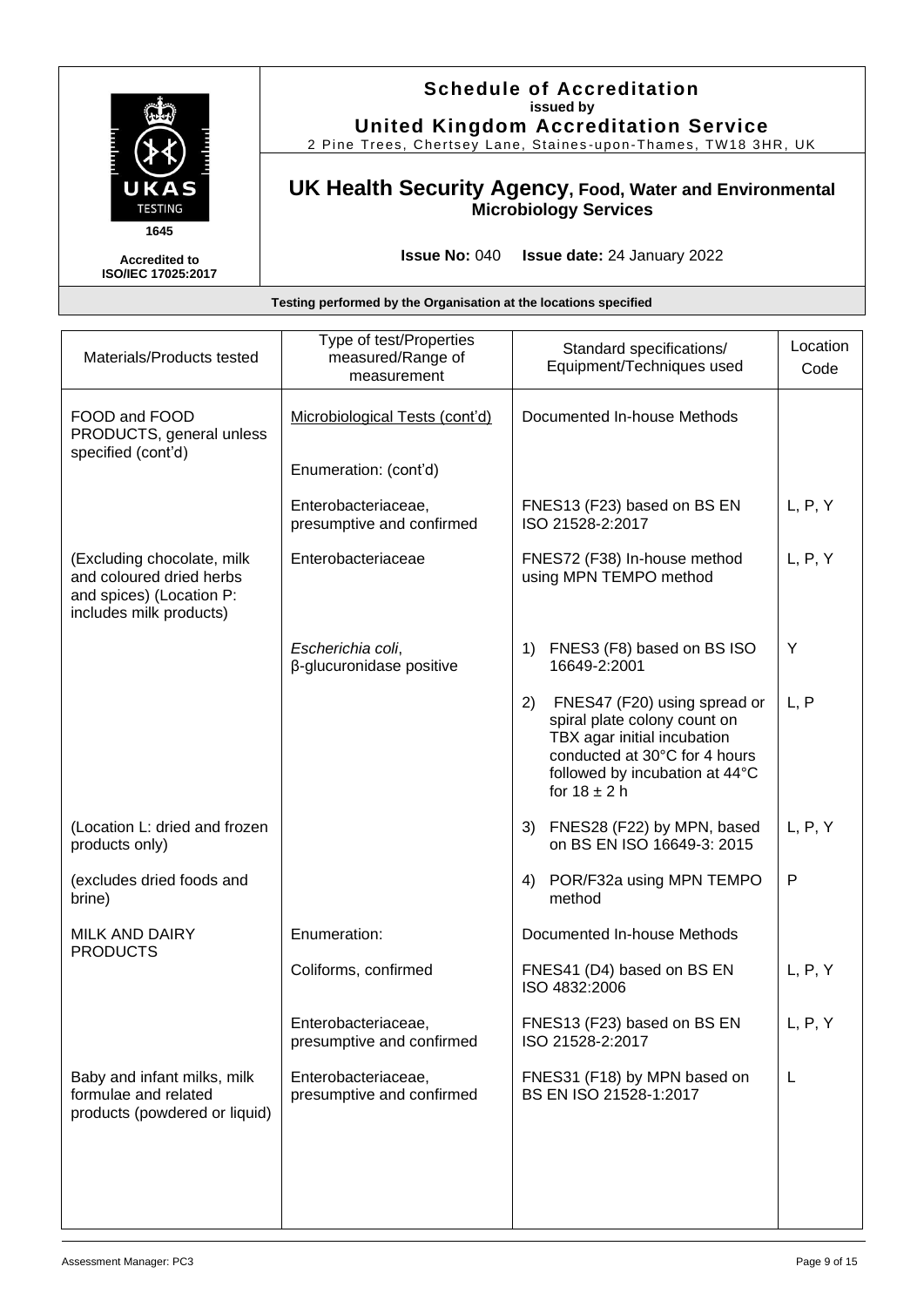

### **Schedule of Accreditation issued by United Kingdom Accreditation Service**

2 Pine Trees, Chertsey Lane, Staines -upon -Thames, TW18 3HR, UK

### **UK Health Security Agency, Food, Water and Environmental Microbiology Services**

**Issue No:** 040 **Issue date:** 24 January 2022

| Materials/Products tested                                                                                     | Type of test/Properties<br>measured/Range of<br>measurement | Standard specifications/<br>Equipment/Techniques used                                                                                                                                    | Location<br>Code |
|---------------------------------------------------------------------------------------------------------------|-------------------------------------------------------------|------------------------------------------------------------------------------------------------------------------------------------------------------------------------------------------|------------------|
| FOOD and FOOD<br>PRODUCTS, general unless<br>specified (cont'd)                                               | Microbiological Tests (cont'd)<br>Enumeration: (cont'd)     | Documented In-house Methods                                                                                                                                                              |                  |
|                                                                                                               | Enterobacteriaceae,<br>presumptive and confirmed            | FNES13 (F23) based on BS EN<br>ISO 21528-2:2017                                                                                                                                          | L, P, Y          |
| (Excluding chocolate, milk<br>and coloured dried herbs<br>and spices) (Location P:<br>includes milk products) | Enterobacteriaceae                                          | FNES72 (F38) In-house method<br>using MPN TEMPO method                                                                                                                                   | L, P, Y          |
|                                                                                                               | Escherichia coli,<br>$\beta$ -glucuronidase positive        | 1) FNES3 (F8) based on BS ISO<br>16649-2:2001                                                                                                                                            | Y                |
|                                                                                                               |                                                             | 2)<br>FNES47 (F20) using spread or<br>spiral plate colony count on<br>TBX agar initial incubation<br>conducted at 30°C for 4 hours<br>followed by incubation at 44°C<br>for $18 \pm 2$ h | L, P             |
| (Location L: dried and frozen<br>products only)                                                               |                                                             | FNES28 (F22) by MPN, based<br>3)<br>on BS EN ISO 16649-3: 2015                                                                                                                           | L, P, Y          |
| (excludes dried foods and<br>brine)                                                                           |                                                             | 4) POR/F32a using MPN TEMPO<br>method                                                                                                                                                    | $\mathsf{P}$     |
| <b>MILK AND DAIRY</b>                                                                                         | Enumeration:                                                | Documented In-house Methods                                                                                                                                                              |                  |
| <b>PRODUCTS</b>                                                                                               | Coliforms, confirmed                                        | FNES41 (D4) based on BS EN<br>ISO 4832:2006                                                                                                                                              | L, P, Y          |
|                                                                                                               | Enterobacteriaceae,<br>presumptive and confirmed            | FNES13 (F23) based on BS EN<br>ISO 21528-2:2017                                                                                                                                          | L, P, Y          |
| Baby and infant milks, milk<br>formulae and related<br>products (powdered or liquid)                          | Enterobacteriaceae,<br>presumptive and confirmed            | FNES31 (F18) by MPN based on<br>BS EN ISO 21528-1:2017                                                                                                                                   | L                |
|                                                                                                               |                                                             |                                                                                                                                                                                          |                  |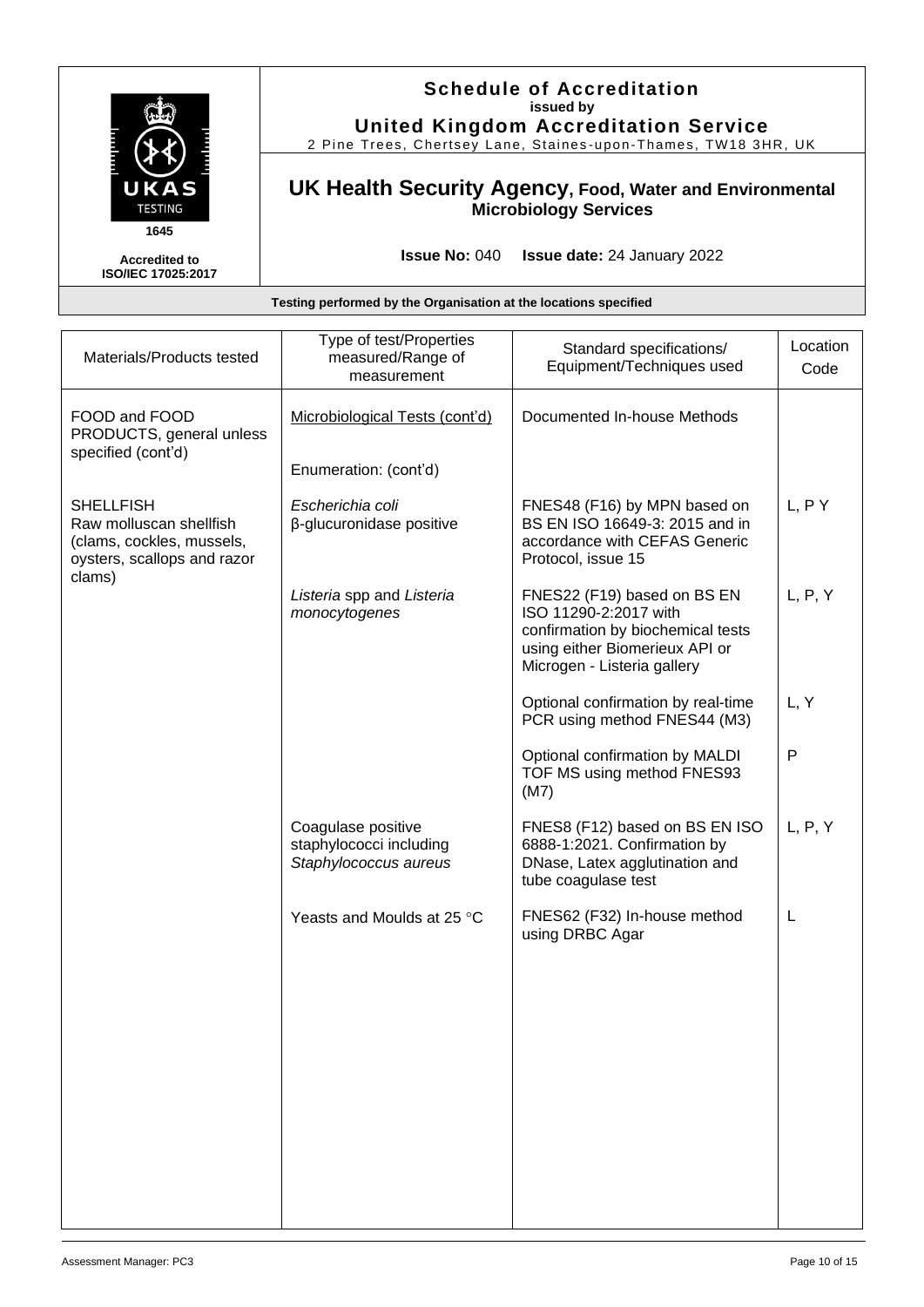

#### **Schedule of Accreditation issued by United Kingdom Accreditation Service**

2 Pine Trees, Chertsey Lane, Staines -upon -Thames, TW18 3HR, UK

### **UK Health Security Agency, Food, Water and Environmental Microbiology Services**

**Issue No:** 040 **Issue date:** 24 January 2022

| Materials/Products tested                                                                               | Type of test/Properties<br>measured/Range of<br>measurement            | Standard specifications/<br>Equipment/Techniques used                                                                                                      | Location<br>Code |
|---------------------------------------------------------------------------------------------------------|------------------------------------------------------------------------|------------------------------------------------------------------------------------------------------------------------------------------------------------|------------------|
| FOOD and FOOD<br>PRODUCTS, general unless<br>specified (cont'd)                                         | Microbiological Tests (cont'd)<br>Enumeration: (cont'd)                | Documented In-house Methods                                                                                                                                |                  |
| <b>SHELLFISH</b><br>Raw molluscan shellfish<br>(clams, cockles, mussels,<br>oysters, scallops and razor | Escherichia coli<br>β-glucuronidase positive                           | FNES48 (F16) by MPN based on<br>BS EN ISO 16649-3: 2015 and in<br>accordance with CEFAS Generic<br>Protocol, issue 15                                      | L, P Y           |
| clams)                                                                                                  | Listeria spp and Listeria<br>monocytogenes                             | FNES22 (F19) based on BS EN<br>ISO 11290-2:2017 with<br>confirmation by biochemical tests<br>using either Biomerieux API or<br>Microgen - Listeria gallery | L, P, Y          |
|                                                                                                         |                                                                        | Optional confirmation by real-time<br>PCR using method FNES44 (M3)                                                                                         | L, Y             |
|                                                                                                         |                                                                        | Optional confirmation by MALDI<br>TOF MS using method FNES93<br>(M7)                                                                                       | P                |
|                                                                                                         | Coagulase positive<br>staphylococci including<br>Staphylococcus aureus | FNES8 (F12) based on BS EN ISO<br>6888-1:2021. Confirmation by<br>DNase, Latex agglutination and<br>tube coagulase test                                    | L, P, Y          |
|                                                                                                         | Yeasts and Moulds at 25 °C                                             | FNES62 (F32) In-house method<br>using DRBC Agar                                                                                                            | L                |
|                                                                                                         |                                                                        |                                                                                                                                                            |                  |
|                                                                                                         |                                                                        |                                                                                                                                                            |                  |
|                                                                                                         |                                                                        |                                                                                                                                                            |                  |
|                                                                                                         |                                                                        |                                                                                                                                                            |                  |
|                                                                                                         |                                                                        |                                                                                                                                                            |                  |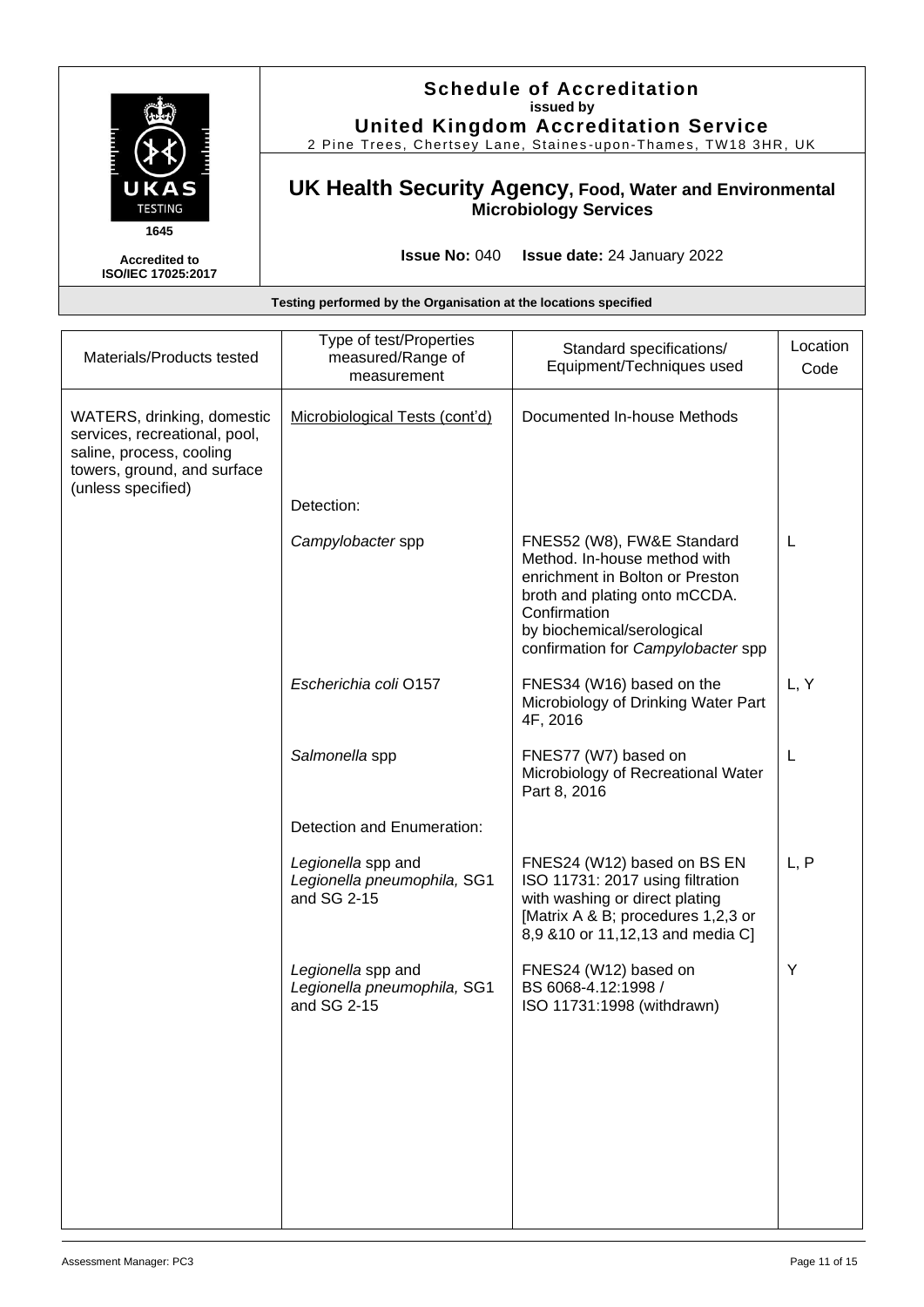| UKAS<br><b>TESTING</b><br>1645             | <b>Schedule of Accreditation</b><br>issued by<br><b>United Kingdom Accreditation Service</b><br>2 Pine Trees, Chertsey Lane, Staines-upon-Thames, TW18 3HR, UK |
|--------------------------------------------|----------------------------------------------------------------------------------------------------------------------------------------------------------------|
|                                            | UK Health Security Agency, Food, Water and Environmental<br><b>Microbiology Services</b>                                                                       |
| <b>Accredited to</b><br>ISO/IEC 17025:2017 | <b>Issue No: <math>040</math></b><br><b>Issue date: 24 January 2022</b>                                                                                        |

| Materials/Products tested                                                                                                                    | Type of test/Properties<br>measured/Range of<br>measurement      | Standard specifications/<br>Equipment/Techniques used                                                                                                                                                              | Location<br>Code |
|----------------------------------------------------------------------------------------------------------------------------------------------|------------------------------------------------------------------|--------------------------------------------------------------------------------------------------------------------------------------------------------------------------------------------------------------------|------------------|
| WATERS, drinking, domestic<br>services, recreational, pool,<br>saline, process, cooling<br>towers, ground, and surface<br>(unless specified) | Microbiological Tests (cont'd)                                   | Documented In-house Methods                                                                                                                                                                                        |                  |
|                                                                                                                                              | Detection:                                                       |                                                                                                                                                                                                                    |                  |
|                                                                                                                                              | Campylobacter spp                                                | FNES52 (W8), FW&E Standard<br>Method. In-house method with<br>enrichment in Bolton or Preston<br>broth and plating onto mCCDA.<br>Confirmation<br>by biochemical/serological<br>confirmation for Campylobacter spp | L                |
|                                                                                                                                              | Escherichia coli O157                                            | FNES34 (W16) based on the<br>Microbiology of Drinking Water Part<br>4F, 2016                                                                                                                                       | L, Y             |
|                                                                                                                                              | Salmonella spp                                                   | FNES77 (W7) based on<br>Microbiology of Recreational Water<br>Part 8, 2016                                                                                                                                         | L                |
|                                                                                                                                              | Detection and Enumeration:                                       |                                                                                                                                                                                                                    |                  |
|                                                                                                                                              | Legionella spp and<br>Legionella pneumophila, SG1<br>and SG 2-15 | FNES24 (W12) based on BS EN<br>ISO 11731: 2017 using filtration<br>with washing or direct plating<br>[Matrix A & B; procedures 1,2,3 or<br>8,9 & 10 or 11, 12, 13 and media C]                                     | L, P             |
|                                                                                                                                              | Legionella spp and<br>Legionella pneumophila, SG1<br>and SG 2-15 | FNES24 (W12) based on<br>BS 6068-4.12:1998 /<br>ISO 11731:1998 (withdrawn)                                                                                                                                         | Υ                |
|                                                                                                                                              |                                                                  |                                                                                                                                                                                                                    |                  |
|                                                                                                                                              |                                                                  |                                                                                                                                                                                                                    |                  |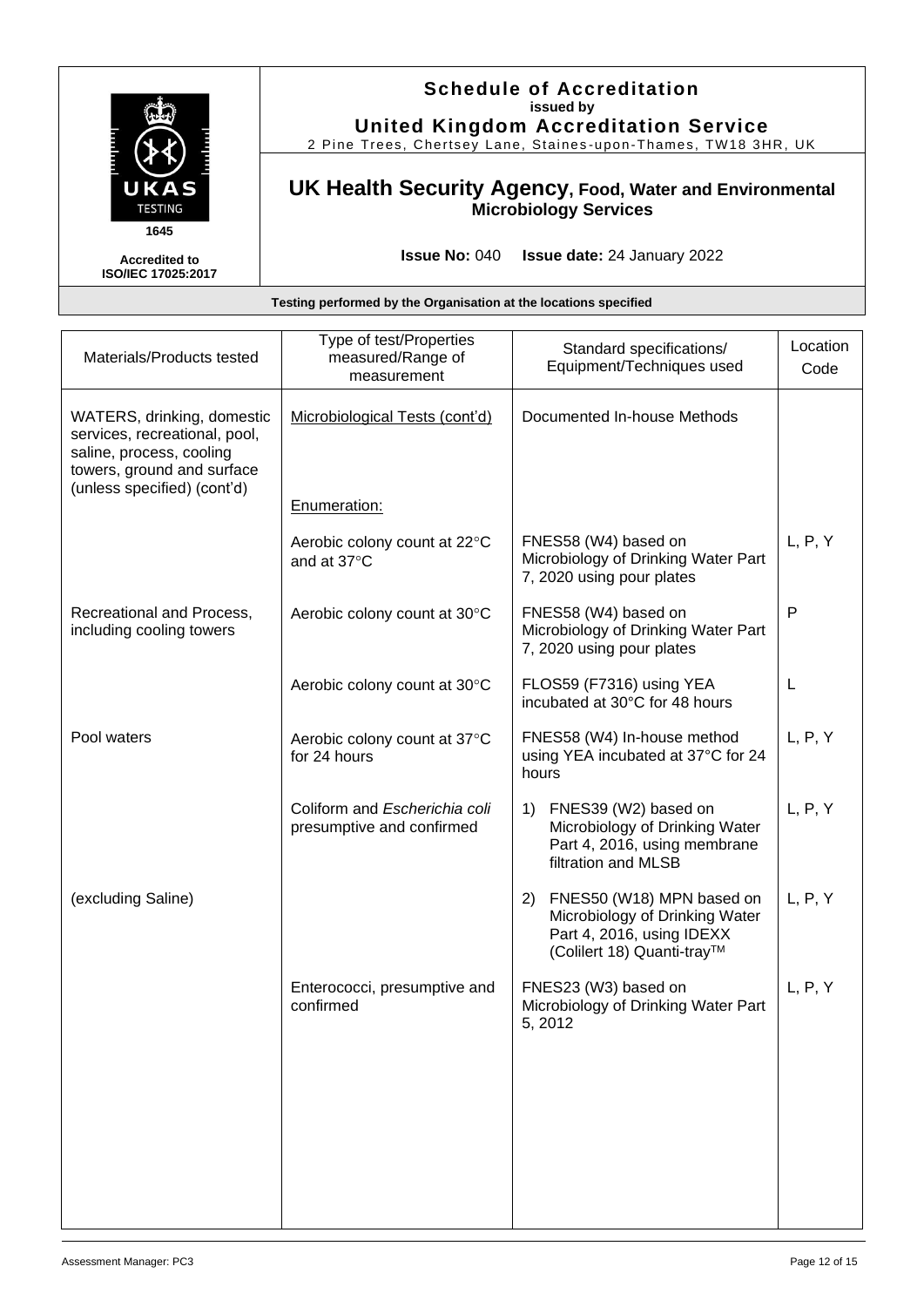

#### **Schedule of Accreditation issued by United Kingdom Accreditation Service**

2 Pine Trees, Chertsey Lane, Staines -upon -Thames, TW18 3HR, UK

### **UK Health Security Agency, Food, Water and Environmental Microbiology Services**

**Issue No:** 040 **Issue date:** 24 January 2022

| Materials/Products tested                                                                                                                            | Type of test/Properties<br>measured/Range of<br>measurement | Standard specifications/<br>Equipment/Techniques used                                                                        | Location<br>Code |
|------------------------------------------------------------------------------------------------------------------------------------------------------|-------------------------------------------------------------|------------------------------------------------------------------------------------------------------------------------------|------------------|
| WATERS, drinking, domestic<br>services, recreational, pool,<br>saline, process, cooling<br>towers, ground and surface<br>(unless specified) (cont'd) | Microbiological Tests (cont'd)                              | Documented In-house Methods                                                                                                  |                  |
|                                                                                                                                                      | Enumeration:                                                |                                                                                                                              |                  |
|                                                                                                                                                      | Aerobic colony count at 22°C<br>and at 37°C                 | FNES58 (W4) based on<br>Microbiology of Drinking Water Part<br>7, 2020 using pour plates                                     | L, P, Y          |
| Recreational and Process,<br>including cooling towers                                                                                                | Aerobic colony count at 30°C                                | FNES58 (W4) based on<br>Microbiology of Drinking Water Part<br>7, 2020 using pour plates                                     | $\mathsf{P}$     |
|                                                                                                                                                      | Aerobic colony count at 30°C                                | FLOS59 (F7316) using YEA<br>incubated at 30°C for 48 hours                                                                   | L                |
| Pool waters                                                                                                                                          | Aerobic colony count at 37°C<br>for 24 hours                | FNES58 (W4) In-house method<br>using YEA incubated at 37°C for 24<br>hours                                                   | L, P, Y          |
|                                                                                                                                                      | Coliform and Escherichia coli<br>presumptive and confirmed  | FNES39 (W2) based on<br>1)<br>Microbiology of Drinking Water<br>Part 4, 2016, using membrane<br>filtration and MLSB          | L, P, Y          |
| (excluding Saline)                                                                                                                                   |                                                             | FNES50 (W18) MPN based on<br>2)<br>Microbiology of Drinking Water<br>Part 4, 2016, using IDEXX<br>(Colilert 18) Quanti-tray™ | L, P, Y          |
|                                                                                                                                                      | Enterococci, presumptive and<br>confirmed                   | FNES23 (W3) based on<br>Microbiology of Drinking Water Part<br>5, 2012                                                       | L, P, Y          |
|                                                                                                                                                      |                                                             |                                                                                                                              |                  |
|                                                                                                                                                      |                                                             |                                                                                                                              |                  |
|                                                                                                                                                      |                                                             |                                                                                                                              |                  |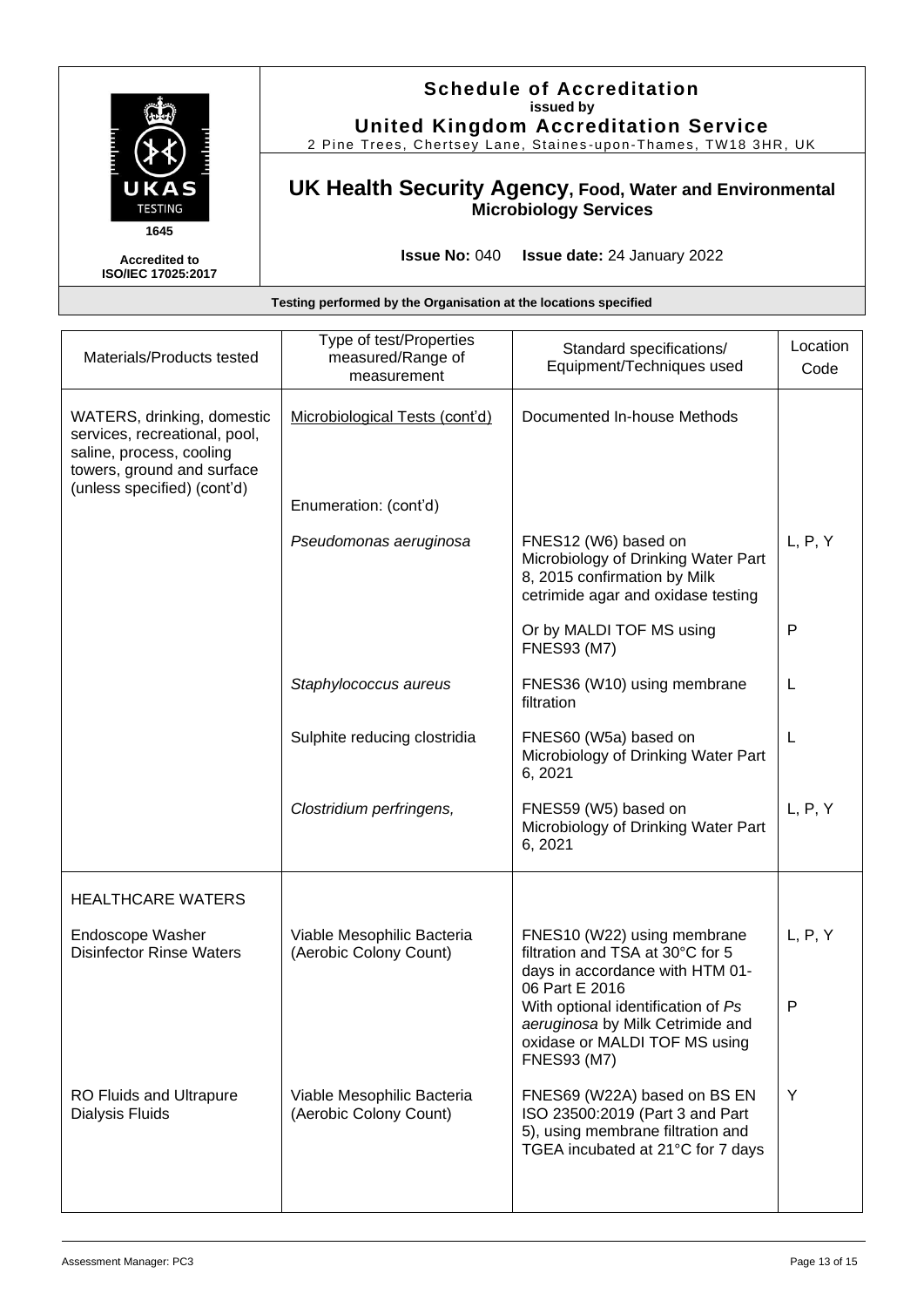| UKAS<br><b>TESTING</b>                                    | <b>Schedule of Accreditation</b><br>issued by<br><b>United Kingdom Accreditation Service</b><br>2 Pine Trees, Chertsey Lane, Staines-upon-Thames, TW18 3HR, UK |
|-----------------------------------------------------------|----------------------------------------------------------------------------------------------------------------------------------------------------------------|
|                                                           | UK Health Security Agency, Food, Water and Environmental<br><b>Microbiology Services</b>                                                                       |
| 1645<br><b>Accredited to</b><br><b>ISO/IEC 17025:2017</b> | <b>Issue No: 040</b><br><b>Issue date:</b> 24 January 2022                                                                                                     |

| Testing performed by the Organisation at the locations specified                                                                                     |                                                             |                                                                                                                                                                                                                                                       |                  |
|------------------------------------------------------------------------------------------------------------------------------------------------------|-------------------------------------------------------------|-------------------------------------------------------------------------------------------------------------------------------------------------------------------------------------------------------------------------------------------------------|------------------|
| Materials/Products tested                                                                                                                            | Type of test/Properties<br>measured/Range of<br>measurement | Standard specifications/<br>Equipment/Techniques used                                                                                                                                                                                                 | Location<br>Code |
| WATERS, drinking, domestic<br>services, recreational, pool,<br>saline, process, cooling<br>towers, ground and surface<br>(unless specified) (cont'd) | Microbiological Tests (cont'd)                              | Documented In-house Methods                                                                                                                                                                                                                           |                  |
|                                                                                                                                                      | Enumeration: (cont'd)                                       |                                                                                                                                                                                                                                                       |                  |
|                                                                                                                                                      | Pseudomonas aeruginosa                                      | FNES12 (W6) based on<br>Microbiology of Drinking Water Part<br>8, 2015 confirmation by Milk<br>cetrimide agar and oxidase testing                                                                                                                     | L, P, Y          |
|                                                                                                                                                      |                                                             | Or by MALDI TOF MS using<br><b>FNES93 (M7)</b>                                                                                                                                                                                                        | P                |
|                                                                                                                                                      | Staphylococcus aureus                                       | FNES36 (W10) using membrane<br>filtration                                                                                                                                                                                                             | L                |
|                                                                                                                                                      | Sulphite reducing clostridia                                | FNES60 (W5a) based on<br>Microbiology of Drinking Water Part<br>6, 2021                                                                                                                                                                               | L                |
|                                                                                                                                                      | Clostridium perfringens,                                    | FNES59 (W5) based on<br>Microbiology of Drinking Water Part<br>6, 2021                                                                                                                                                                                | L, P, Y          |
| <b>HEALTHCARE WATERS</b>                                                                                                                             |                                                             |                                                                                                                                                                                                                                                       |                  |
| Endoscope Washer<br><b>Disinfector Rinse Waters</b>                                                                                                  | Viable Mesophilic Bacteria<br>(Aerobic Colony Count)        | FNES10 (W22) using membrane<br>filtration and TSA at 30°C for 5<br>days in accordance with HTM 01-<br>06 Part E 2016<br>With optional identification of Ps<br>aeruginosa by Milk Cetrimide and<br>oxidase or MALDI TOF MS using<br><b>FNES93 (M7)</b> | L, P, Y<br>P     |
| <b>RO Fluids and Ultrapure</b><br><b>Dialysis Fluids</b>                                                                                             | Viable Mesophilic Bacteria<br>(Aerobic Colony Count)        | FNES69 (W22A) based on BS EN<br>ISO 23500:2019 (Part 3 and Part<br>5), using membrane filtration and<br>TGEA incubated at 21°C for 7 days                                                                                                             | Y                |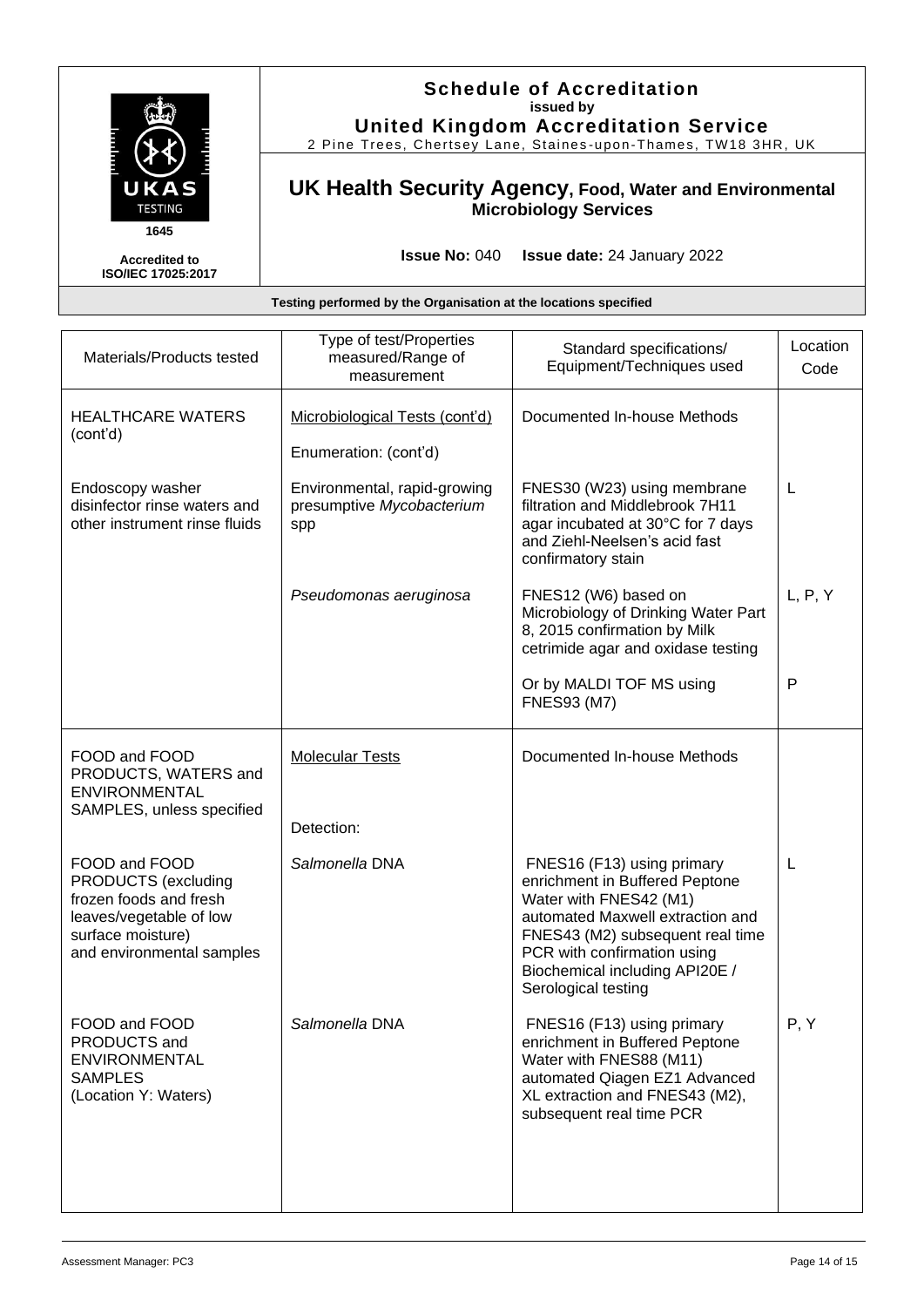

#### **Schedule of Accreditation issued by United Kingdom Accreditation Service**

2 Pine Trees, Chertsey Lane, Staines -upon -Thames, TW18 3HR, UK

### **UK Health Security Agency, Food, Water and Environmental Microbiology Services**

**Issue No:** 040 **Issue date:** 24 January 2022

Biochemical including API20E /

enrichment in Buffered Peptone Water with FNES88 (M11)

automated Qiagen EZ1 Advanced XL extraction and FNES43 (M2), subsequent real time PCR

Serological testing

Salmonella DNA **FNES16** (F13) using primary

#### **Testing performed by the Organisation at the locations specified** Materials/Products tested Type of test/Properties measured/Range of measurement Standard specifications/ Equipment/Techniques used Location Code HEALTHCARE WATERS (cont'd) Microbiological Tests (cont'd) | Documented In-house Methods Enumeration: (cont'd) Endoscopy washer disinfector rinse waters and other instrument rinse fluids Environmental, rapid-growing presumptive *Mycobacterium* spp FNES30 (W23) using membrane filtration and Middlebrook 7H11 agar incubated at 30°C for 7 days and Ziehl-Neelsen's acid fast confirmatory stain L *Pseudomonas aeruginosa* FNES12 (W6) based on Microbiology of Drinking Water Part 8, 2015 confirmation by Milk cetrimide agar and oxidase testing L, P, Y Or by MALDI TOF MS using FNES93 (M7) P FOOD and FOOD PRODUCTS, WATERS and ENVIRONMENTAL SAMPLES, unless specified Molecular Tests **Documented In-house Methods** Detection: FOOD and FOOD PRODUCTS (excluding frozen foods and fresh leaves/vegetable of low surface moisture) and environmental samples Salmonella DNA **FNES16** (F13) using primary enrichment in Buffered Peptone Water with FNES42 (M1) automated Maxwell extraction and FNES43 (M2) subsequent real time PCR with confirmation using L

FOOD and FOOD PRODUCTS and ENVIRONMENTAL

(Location Y: Waters)

SAMPLES

P, Y